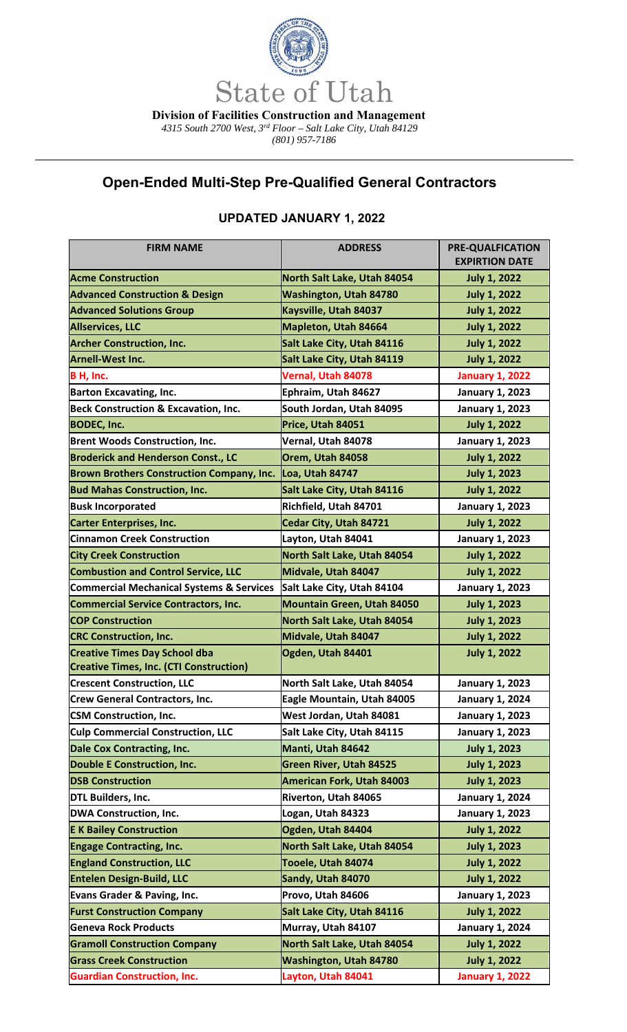

 *4315 South 2700 West, 3rd Floor – Salt Lake City, Utah 84129* 

*(801) 957-7186* 

## **Open-Ended Multi-Step Pre-Qualified General Contractors**

| <b>FIRM NAME</b>                                    | <b>ADDRESS</b>                    | <b>PRE-QUALFICATION</b><br><b>EXPIRTION DATE</b> |
|-----------------------------------------------------|-----------------------------------|--------------------------------------------------|
| <b>Acme Construction</b>                            | North Salt Lake, Utah 84054       | <b>July 1, 2022</b>                              |
| <b>Advanced Construction &amp; Design</b>           | <b>Washington, Utah 84780</b>     | <b>July 1, 2022</b>                              |
| <b>Advanced Solutions Group</b>                     | Kaysville, Utah 84037             | <b>July 1, 2022</b>                              |
| <b>Allservices, LLC</b>                             | Mapleton, Utah 84664              | <b>July 1, 2022</b>                              |
| <b>Archer Construction, Inc.</b>                    | Salt Lake City, Utah 84116        | <b>July 1, 2022</b>                              |
| <b>Arnell-West Inc.</b>                             | Salt Lake City, Utah 84119        | <b>July 1, 2022</b>                              |
| B H, Inc.                                           | Vernal, Utah 84078                | <b>January 1, 2022</b>                           |
| <b>Barton Excavating, Inc.</b>                      | Ephraim, Utah 84627               | <b>January 1, 2023</b>                           |
| <b>Beck Construction &amp; Excavation, Inc.</b>     | South Jordan, Utah 84095          | <b>January 1, 2023</b>                           |
| <b>BODEC, Inc.</b>                                  | Price, Utah 84051                 | <b>July 1, 2022</b>                              |
| <b>Brent Woods Construction, Inc.</b>               | Vernal, Utah 84078                | <b>January 1, 2023</b>                           |
| <b>Broderick and Henderson Const., LC</b>           | Orem, Utah 84058                  | <b>July 1, 2022</b>                              |
| <b>Brown Brothers Construction Company, Inc.</b>    | Loa, Utah 84747                   | <b>July 1, 2023</b>                              |
| <b>Bud Mahas Construction, Inc.</b>                 | Salt Lake City, Utah 84116        | <b>July 1, 2022</b>                              |
| <b>Busk Incorporated</b>                            | Richfield, Utah 84701             | <b>January 1, 2023</b>                           |
| <b>Carter Enterprises, Inc.</b>                     | Cedar City, Utah 84721            | <b>July 1, 2022</b>                              |
| <b>Cinnamon Creek Construction</b>                  | Layton, Utah 84041                | <b>January 1, 2023</b>                           |
| <b>City Creek Construction</b>                      | North Salt Lake, Utah 84054       | <b>July 1, 2022</b>                              |
| <b>Combustion and Control Service, LLC</b>          | Midvale, Utah 84047               | <b>July 1, 2022</b>                              |
| <b>Commercial Mechanical Systems &amp; Services</b> | Salt Lake City, Utah 84104        | <b>January 1, 2023</b>                           |
| <b>Commercial Service Contractors, Inc.</b>         | <b>Mountain Green, Utah 84050</b> | <b>July 1, 2023</b>                              |
| <b>COP Construction</b>                             | North Salt Lake, Utah 84054       | <b>July 1, 2023</b>                              |
| <b>CRC Construction, Inc.</b>                       | Midvale, Utah 84047               | <b>July 1, 2022</b>                              |
| <b>Creative Times Day School dba</b>                | Ogden, Utah 84401                 | <b>July 1, 2022</b>                              |
| <b>Creative Times, Inc. (CTI Construction)</b>      |                                   |                                                  |
| <b>Crescent Construction, LLC</b>                   | North Salt Lake, Utah 84054       | <b>January 1, 2023</b>                           |
| <b>Crew General Contractors, Inc.</b>               | Eagle Mountain, Utah 84005        | <b>January 1, 2024</b>                           |
| <b>CSM Construction, Inc.</b>                       | West Jordan, Utah 84081           | <b>January 1, 2023</b>                           |
| <b>Culp Commercial Construction, LLC</b>            | Salt Lake City, Utah 84115        | <b>January 1, 2023</b>                           |
| <b>Dale Cox Contracting, Inc.</b>                   | Manti, Utah 84642                 | <b>July 1, 2023</b>                              |
| <b>Double E Construction, Inc.</b>                  | <b>Green River, Utah 84525</b>    | <b>July 1, 2023</b>                              |
| <b>DSB Construction</b>                             | <b>American Fork, Utah 84003</b>  | <b>July 1, 2023</b>                              |
| DTL Builders, Inc.                                  | Riverton, Utah 84065              | January 1, 2024                                  |
| <b>DWA Construction, Inc.</b>                       | Logan, Utah 84323                 | <b>January 1, 2023</b>                           |
| <b>E K Bailey Construction</b>                      | Ogden, Utah 84404                 | <b>July 1, 2022</b>                              |
| <b>Engage Contracting, Inc.</b>                     | North Salt Lake, Utah 84054       | <b>July 1, 2023</b>                              |
| <b>England Construction, LLC</b>                    | Tooele, Utah 84074                | <b>July 1, 2022</b>                              |
| <b>Entelen Design-Build, LLC</b>                    | Sandy, Utah 84070                 | <b>July 1, 2022</b>                              |
| Evans Grader & Paving, Inc.                         | Provo, Utah 84606                 | <b>January 1, 2023</b>                           |
| <b>Furst Construction Company</b>                   | Salt Lake City, Utah 84116        | <b>July 1, 2022</b>                              |
| <b>Geneva Rock Products</b>                         | Murray, Utah 84107                | <b>January 1, 2024</b>                           |
| <b>Gramoll Construction Company</b>                 | North Salt Lake, Utah 84054       | <b>July 1, 2022</b>                              |
| <b>Grass Creek Construction</b>                     | Washington, Utah 84780            | <b>July 1, 2022</b>                              |
| <b>Guardian Construction, Inc.</b>                  | Layton, Utah 84041                | <b>January 1, 2022</b>                           |

 $\overline{\phantom{a}}$ 

## **UPDATED JANUARY 1, 2022**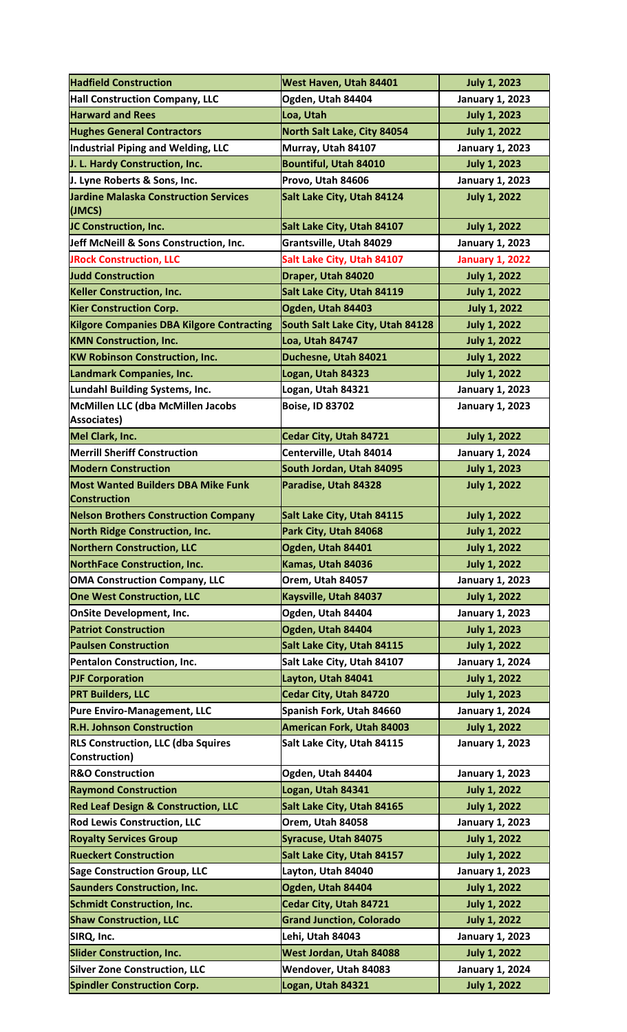| <b>Hadfield Construction</b>                               | West Haven, Utah 84401           | <b>July 1, 2023</b>    |
|------------------------------------------------------------|----------------------------------|------------------------|
| <b>Hall Construction Company, LLC</b>                      | Ogden, Utah 84404                | <b>January 1, 2023</b> |
| <b>Harward and Rees</b>                                    | Loa, Utah                        | <b>July 1, 2023</b>    |
| <b>Hughes General Contractors</b>                          | North Salt Lake, City 84054      | <b>July 1, 2022</b>    |
| Industrial Piping and Welding, LLC                         | Murray, Utah 84107               | <b>January 1, 2023</b> |
| J. L. Hardy Construction, Inc.                             | <b>Bountiful, Utah 84010</b>     | <b>July 1, 2023</b>    |
| J. Lyne Roberts & Sons, Inc.                               | Provo, Utah 84606                | <b>January 1, 2023</b> |
| <b>Jardine Malaska Construction Services</b>               | Salt Lake City, Utah 84124       | <b>July 1, 2022</b>    |
| (JMCS)                                                     |                                  |                        |
| JC Construction, Inc.                                      | Salt Lake City, Utah 84107       | <b>July 1, 2022</b>    |
| Jeff McNeill & Sons Construction, Inc.                     | Grantsville, Utah 84029          | <b>January 1, 2023</b> |
| <b>JRock Construction, LLC</b>                             | Salt Lake City, Utah 84107       | <b>January 1, 2022</b> |
| <b>Judd Construction</b>                                   | Draper, Utah 84020               | <b>July 1, 2022</b>    |
| <b>Keller Construction, Inc.</b>                           | Salt Lake City, Utah 84119       | <b>July 1, 2022</b>    |
| <b>Kier Construction Corp.</b>                             | Ogden, Utah 84403                | <b>July 1, 2022</b>    |
| <b>Kilgore Companies DBA Kilgore Contracting</b>           | South Salt Lake City, Utah 84128 | <b>July 1, 2022</b>    |
| <b>KMN Construction, Inc.</b>                              | Loa, Utah 84747                  | <b>July 1, 2022</b>    |
| <b>KW Robinson Construction, Inc.</b>                      | Duchesne, Utah 84021             | <b>July 1, 2022</b>    |
| Landmark Companies, Inc.                                   | Logan, Utah 84323                | <b>July 1, 2022</b>    |
| Lundahl Building Systems, Inc.                             | Logan, Utah 84321                | <b>January 1, 2023</b> |
| McMillen LLC (dba McMillen Jacobs                          | <b>Boise, ID 83702</b>           | <b>January 1, 2023</b> |
| Associates)                                                |                                  |                        |
| Mel Clark, Inc.                                            | Cedar City, Utah 84721           | <b>July 1, 2022</b>    |
| <b>Merrill Sheriff Construction</b>                        | Centerville, Utah 84014          | <b>January 1, 2024</b> |
| <b>Modern Construction</b>                                 | South Jordan, Utah 84095         | <b>July 1, 2023</b>    |
| <b>Most Wanted Builders DBA Mike Funk</b>                  | Paradise, Utah 84328             | <b>July 1, 2022</b>    |
| <b>Construction</b>                                        |                                  |                        |
| <b>Nelson Brothers Construction Company</b>                | Salt Lake City, Utah 84115       | <b>July 1, 2022</b>    |
| <b>North Ridge Construction, Inc.</b>                      | Park City, Utah 84068            | <b>July 1, 2022</b>    |
| <b>Northern Construction, LLC</b>                          | Ogden, Utah 84401                | <b>July 1, 2022</b>    |
| <b>NorthFace Construction, Inc.</b>                        | Kamas, Utah 84036                | <b>July 1, 2022</b>    |
| <b>OMA Construction Company, LLC</b>                       | Orem, Utah 84057                 | <b>January 1, 2023</b> |
| <b>One West Construction, LLC</b>                          | Kaysville, Utah 84037            | <b>July 1, 2022</b>    |
| <b>OnSite Development, Inc.</b>                            | Ogden, Utah 84404                | <b>January 1, 2023</b> |
| <b>Patriot Construction</b>                                | Ogden, Utah 84404                | <b>July 1, 2023</b>    |
| <b>Paulsen Construction</b>                                | Salt Lake City, Utah 84115       | <b>July 1, 2022</b>    |
| Pentalon Construction, Inc.                                | Salt Lake City, Utah 84107       | <b>January 1, 2024</b> |
| <b>PJF Corporation</b>                                     | Layton, Utah 84041               | <b>July 1, 2022</b>    |
| <b>PRT Builders, LLC</b>                                   | Cedar City, Utah 84720           | <b>July 1, 2023</b>    |
| Pure Enviro-Management, LLC                                | Spanish Fork, Utah 84660         | <b>January 1, 2024</b> |
| <b>R.H. Johnson Construction</b>                           | <b>American Fork, Utah 84003</b> | <b>July 1, 2022</b>    |
| <b>RLS Construction, LLC (dba Squires</b><br>Construction) | Salt Lake City, Utah 84115       | <b>January 1, 2023</b> |
| <b>R&amp;O Construction</b>                                | Ogden, Utah 84404                | <b>January 1, 2023</b> |
| <b>Raymond Construction</b>                                | Logan, Utah 84341                | <b>July 1, 2022</b>    |
| <b>Red Leaf Design &amp; Construction, LLC</b>             | Salt Lake City, Utah 84165       | <b>July 1, 2022</b>    |
| <b>Rod Lewis Construction, LLC</b>                         | Orem, Utah 84058                 | <b>January 1, 2023</b> |
| <b>Royalty Services Group</b>                              | <b>Syracuse, Utah 84075</b>      | <b>July 1, 2022</b>    |
| <b>Rueckert Construction</b>                               | Salt Lake City, Utah 84157       | <b>July 1, 2022</b>    |
| <b>Sage Construction Group, LLC</b>                        | Layton, Utah 84040               | <b>January 1, 2023</b> |
| <b>Saunders Construction, Inc.</b>                         | Ogden, Utah 84404                | <b>July 1, 2022</b>    |
| <b>Schmidt Construction, Inc.</b>                          | Cedar City, Utah 84721           | <b>July 1, 2022</b>    |
| <b>Shaw Construction, LLC</b>                              | <b>Grand Junction, Colorado</b>  | <b>July 1, 2022</b>    |
| SIRQ, Inc.                                                 | Lehi, Utah 84043                 | <b>January 1, 2023</b> |
| <b>Slider Construction, Inc.</b>                           | West Jordan, Utah 84088          | <b>July 1, 2022</b>    |
| <b>Silver Zone Construction, LLC</b>                       | Wendover, Utah 84083             | <b>January 1, 2024</b> |
| <b>Spindler Construction Corp.</b>                         | Logan, Utah 84321                | <b>July 1, 2022</b>    |